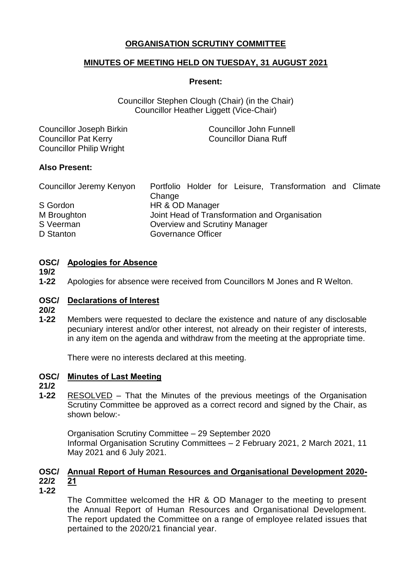# **ORGANISATION SCRUTINY COMMITTEE**

## **MINUTES OF MEETING HELD ON TUESDAY, 31 AUGUST 2021**

#### **Present:**

Councillor Stephen Clough (Chair) (in the Chair) Councillor Heather Liggett (Vice-Chair)

| Councillor Joseph Birkin        | <b>Councillor John Funnell</b> |
|---------------------------------|--------------------------------|
| <b>Councillor Pat Kerry</b>     | <b>Councillor Diana Ruff</b>   |
| <b>Councillor Philip Wright</b> |                                |

## **Also Present:**

| Councillor Jeremy Kenyon | Portfolio Holder for Leisure, Transformation and Climate |  |
|--------------------------|----------------------------------------------------------|--|
|                          | Change                                                   |  |
| S Gordon                 | HR & OD Manager                                          |  |
| M Broughton              | Joint Head of Transformation and Organisation            |  |
| S Veerman                | Overview and Scrutiny Manager                            |  |
| D Stanton                | Governance Officer                                       |  |

## **OSC/ Apologies for Absence**

**19/2**

**1-22** Apologies for absence were received from Councillors M Jones and R Welton.

## **OSC/ Declarations of Interest**

- **20/2**
- **1-22** Members were requested to declare the existence and nature of any disclosable pecuniary interest and/or other interest, not already on their register of interests, in any item on the agenda and withdraw from the meeting at the appropriate time.

There were no interests declared at this meeting.

## **OSC/ Minutes of Last Meeting**

## **21/2**

**1-22** RESOLVED – That the Minutes of the previous meetings of the Organisation Scrutiny Committee be approved as a correct record and signed by the Chair, as shown below:-

Organisation Scrutiny Committee – 29 September 2020 Informal Organisation Scrutiny Committees – 2 February 2021, 2 March 2021, 11 May 2021 and 6 July 2021.

#### **OSC/ Annual Report of Human Resources and Organisational Development 2020- 22/2 21**

**1-22**

The Committee welcomed the HR & OD Manager to the meeting to present the Annual Report of Human Resources and Organisational Development. The report updated the Committee on a range of employee related issues that pertained to the 2020/21 financial year.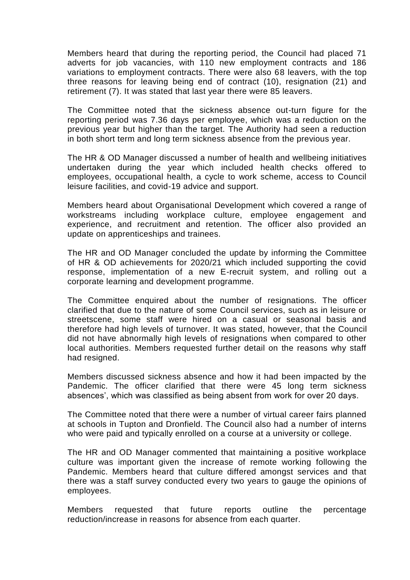Members heard that during the reporting period, the Council had placed 71 adverts for job vacancies, with 110 new employment contracts and 186 variations to employment contracts. There were also 68 leavers, with the top three reasons for leaving being end of contract (10), resignation (21) and retirement (7). It was stated that last year there were 85 leavers.

The Committee noted that the sickness absence out-turn figure for the reporting period was 7.36 days per employee, which was a reduction on the previous year but higher than the target. The Authority had seen a reduction in both short term and long term sickness absence from the previous year.

The HR & OD Manager discussed a number of health and wellbeing initiatives undertaken during the year which included health checks offered to employees, occupational health, a cycle to work scheme, access to Council leisure facilities, and covid-19 advice and support.

Members heard about Organisational Development which covered a range of workstreams including workplace culture, employee engagement and experience, and recruitment and retention. The officer also provided an update on apprenticeships and trainees.

The HR and OD Manager concluded the update by informing the Committee of HR & OD achievements for 2020/21 which included supporting the covid response, implementation of a new E-recruit system, and rolling out a corporate learning and development programme.

The Committee enquired about the number of resignations. The officer clarified that due to the nature of some Council services, such as in leisure or streetscene, some staff were hired on a casual or seasonal basis and therefore had high levels of turnover. It was stated, however, that the Council did not have abnormally high levels of resignations when compared to other local authorities. Members requested further detail on the reasons why staff had resigned.

Members discussed sickness absence and how it had been impacted by the Pandemic. The officer clarified that there were 45 long term sickness absences', which was classified as being absent from work for over 20 days.

The Committee noted that there were a number of virtual career fairs planned at schools in Tupton and Dronfield. The Council also had a number of interns who were paid and typically enrolled on a course at a university or college.

The HR and OD Manager commented that maintaining a positive workplace culture was important given the increase of remote working following the Pandemic. Members heard that culture differed amongst services and that there was a staff survey conducted every two years to gauge the opinions of employees.

Members requested that future reports outline the percentage reduction/increase in reasons for absence from each quarter.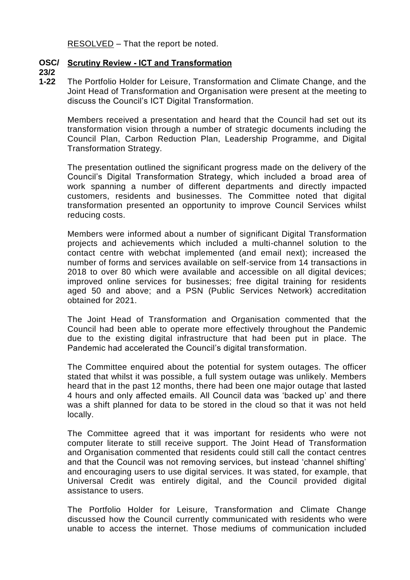RESOLVED – That the report be noted.

# **OSC/ Scrutiny Review - ICT and Transformation**

**23/2**

**1-22** The Portfolio Holder for Leisure, Transformation and Climate Change, and the Joint Head of Transformation and Organisation were present at the meeting to discuss the Council's ICT Digital Transformation.

Members received a presentation and heard that the Council had set out its transformation vision through a number of strategic documents including the Council Plan, Carbon Reduction Plan, Leadership Programme, and Digital Transformation Strategy.

The presentation outlined the significant progress made on the delivery of the Council's Digital Transformation Strategy, which included a broad area of work spanning a number of different departments and directly impacted customers, residents and businesses. The Committee noted that digital transformation presented an opportunity to improve Council Services whilst reducing costs.

Members were informed about a number of significant Digital Transformation projects and achievements which included a multi-channel solution to the contact centre with webchat implemented (and email next); increased the number of forms and services available on self-service from 14 transactions in 2018 to over 80 which were available and accessible on all digital devices; improved online services for businesses; free digital training for residents aged 50 and above; and a PSN (Public Services Network) accreditation obtained for 2021.

The Joint Head of Transformation and Organisation commented that the Council had been able to operate more effectively throughout the Pandemic due to the existing digital infrastructure that had been put in place. The Pandemic had accelerated the Council's digital transformation.

The Committee enquired about the potential for system outages. The officer stated that whilst it was possible, a full system outage was unlikely. Members heard that in the past 12 months, there had been one major outage that lasted 4 hours and only affected emails. All Council data was 'backed up' and there was a shift planned for data to be stored in the cloud so that it was not held locally.

The Committee agreed that it was important for residents who were not computer literate to still receive support. The Joint Head of Transformation and Organisation commented that residents could still call the contact centres and that the Council was not removing services, but instead 'channel shifting' and encouraging users to use digital services. It was stated, for example, that Universal Credit was entirely digital, and the Council provided digital assistance to users.

The Portfolio Holder for Leisure, Transformation and Climate Change discussed how the Council currently communicated with residents who were unable to access the internet. Those mediums of communication included